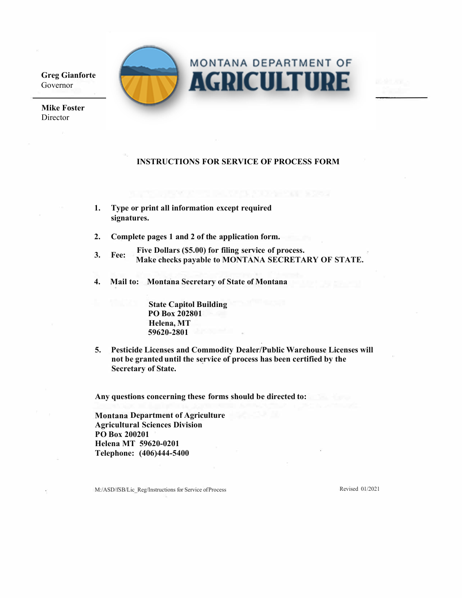**Greg Gianforte** Governor

**Mike Foster** Director

# **MONTANA DEPARTMENT OF AGRICULTURE**

## **INSTRUCTIONS FOR SERVICE OF PROCESS FORM**

- **1. Type or print all information except required signatures.**
- **2. Complete pages 1 and 2 of the application form.**
- **3. Fee: Five Dollars (\$5.00) for filing service of process. Make checks payable to MONTANA SECRETARY OF STATE.**
- **4. Mail to: Montana Secretary of State of Montana**

**State Capitol Building PO Box 202801 Helena, MT 59620-2801**

**5. Pesticide Licenses and Commodity Dealer/Public Warehouse Licenses will not be granted until the service of process has been certified by the Secretary of State.**

**Any questions concerning these forms should be directed to:**

**Montana Department of Agriculture Agricultural Sciences Division PO Box 200201 Helena MT 59620-0201 Telephone: (406)444-5400** 

M:/ASD/fSB/Lic\_Reg/Instructions for Service of Process Revised 01/2021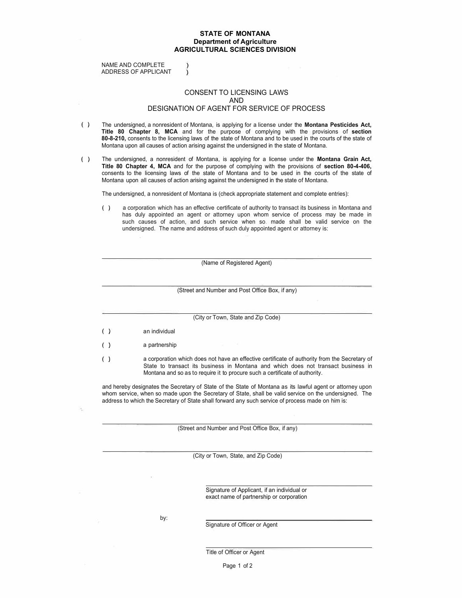#### **STATE OF MONTANA Department of Agriculture AGRICULTURAL SCIENCES DIVISION**

NAME AND COMPLETE ADDRESS OF APPLICANT

١

#### CONSENT TO LICENSING LAWS AND DESIGNATION OF AGENT FOR SERVICE OF PROCESS

- ( ) The undersigned, a nonresident of Montana, is applying for a license under the **Montana Pesticides Act, Title 80 Chapter 8, MCA** and for the purpose of complying with the provisions of **section 80-8-210,** consents to the licensing laws of the state of Montana and to be used in the courts of the state of Montana upon all causes of action arising against the undersigned in the state of Montana.
- ( ) The undersigned, a nonresident of Montana, is applying for a license under the **Montana Grain Act, Title 80 Chapter 4, MCA** and for the purpose of complying with the provisions of **section 80-4-406,**  consents to the licensing laws of the state of Montana and to be used in the courts of the state of Montana upon all causes of action arising against the undersigned in the state of Montana.

The undersigned, a nonresident of Montana is (check appropriate statement and complete entries):

( ) a corporation which has an effective certificate of authority to transact its business in Montana and has duly appointed an agent or attorney upon whom service of process may be made in such causes of action, and such service when so. made shall be valid service on the undersigned. The name and address of such duly appointed agent or attorney is:

(Name of Registered Agent)

(Street and Number and Post Office Box, if any)

| (City or Town, State and Zip Code) |                                                                                                                                                                                                                                                                   |  |  |  |
|------------------------------------|-------------------------------------------------------------------------------------------------------------------------------------------------------------------------------------------------------------------------------------------------------------------|--|--|--|
| ( )                                | an individual                                                                                                                                                                                                                                                     |  |  |  |
| (                                  | a partnership                                                                                                                                                                                                                                                     |  |  |  |
|                                    | a corporation which does not have an effective certificate of authority from the Secretary of<br>State to transact its business in Montana and which does not transact business in<br>Montana and so as to require it to procure such a certificate of authority. |  |  |  |

and hereby designates the Secretary of State of the State of Montana as its lawful agent or attorney upon whom service, when so made upon the Secretary of State, shall be valid service on the undersigned. The address to which the Secretary of State shall forward any such service of process made on him is:

(Street and Number and Post Office Box, if any)

(City or Town, State, and Zip Code)

Signature of Applicant, if an individual or exact name of partnership or corporation

by:

Signature of Officer or Agent

Title of Officer or Agent